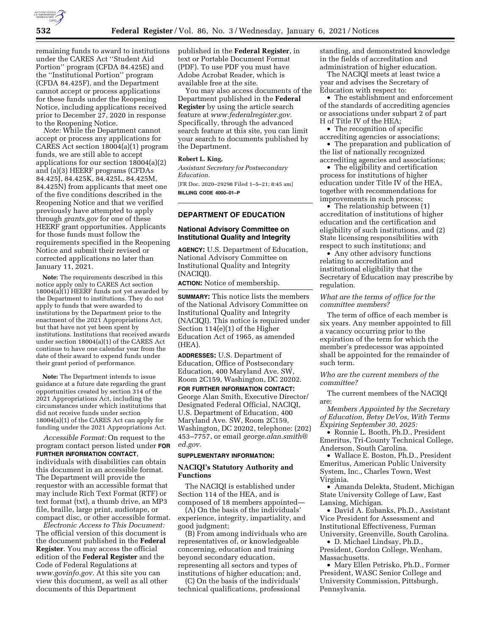

remaining funds to award to institutions under the CARES Act ''Student Aid Portion'' program (CFDA 84.425E) and the ''Institutional Portion'' program (CFDA 84.425F), and the Department cannot accept or process applications for these funds under the Reopening Notice, including applications received prior to December 27, 2020 in response to the Reopening Notice.

*Note:* While the Department cannot accept or process any applications for CARES Act section 18004(a)(1) program funds, we are still able to accept applications for our section 18004(a)(2) and (a)(3) HEERF programs (CFDAs 84.425J, 84.425K, 84.425L, 84.425M, 84.425N) from applicants that meet one of the five conditions described in the Reopening Notice and that we verified previously have attempted to apply through *grants.gov* for one of these HEERF grant opportunities. Applicants for those funds must follow the requirements specified in the Reopening Notice and submit their revised or corrected applications no later than January 11, 2021.

**Note:** The requirements described in this notice apply only to CARES Act section  $18004(a)\overline{(1)}$  HEERF funds not yet awarded by the Department to institutions. They do not apply to funds that were awarded to institutions by the Department prior to the enactment of the 2021 Appropriations Act, but that have not yet been spent by institutions. Institutions that received awards under section 18004(a)(1) of the CARES Act continue to have one calendar year from the date of their award to expend funds under their grant period of performance.

**Note:** The Department intends to issue guidance at a future date regarding the grant opportunities created by section 314 of the 2021 Appropriations Act, including the circumstances under which institutions that did not receive funds under section 18004(a)(1) of the CARES Act can apply for funding under the 2021 Appropriations Act.

*Accessible Format:* On request to the program contact person listed under **FOR FURTHER INFORMATION CONTACT**, individuals with disabilities can obtain this document in an accessible format. The Department will provide the requestor with an accessible format that may include Rich Text Format (RTF) or text format (txt), a thumb drive, an MP3 file, braille, large print, audiotape, or

compact disc, or other accessible format. *Electronic Access to This Document:*  The official version of this document is the document published in the **Federal Register**. You may access the official edition of the **Federal Register** and the Code of Federal Regulations at *[www.govinfo.gov.](http://www.govinfo.gov)* At this site you can view this document, as well as all other documents of this Department

published in the **Federal Register**, in text or Portable Document Format (PDF). To use PDF you must have Adobe Acrobat Reader, which is available free at the site.

You may also access documents of the Department published in the **Federal Register** by using the article search feature at *[www.federalregister.gov.](http://www.federalregister.gov)*  Specifically, through the advanced search feature at this site, you can limit your search to documents published by the Department.

#### **Robert L. King,**

*Assistant Secretary for Postsecondary Education.* 

[FR Doc. 2020–29298 Filed 1–5–21; 8:45 am] **BILLING CODE 4000–01–P** 

# **DEPARTMENT OF EDUCATION**

# **National Advisory Committee on Institutional Quality and Integrity**

**AGENCY:** U.S. Department of Education, National Advisory Committee on Institutional Quality and Integrity (NACIQI).

**ACTION:** Notice of membership.

**SUMMARY:** This notice lists the members of the National Advisory Committee on Institutional Quality and Integrity (NACIQI). This notice is required under Section 114(e)(1) of the Higher Education Act of 1965, as amended (HEA).

**ADDRESSES:** U.S. Department of Education, Office of Postsecondary Education, 400 Maryland Ave. SW, Room 2C159, Washington, DC 20202.

**FOR FURTHER INFORMATION CONTACT:**  George Alan Smith, Executive Director/ Designated Federal Official, NACIQI, U.S. Department of Education, 400 Maryland Ave. SW, Room 2C159, Washington, DC 20202, telephone: (202) 453–7757, or email *[george.alan.smith@](mailto:george.alan.smith@ed.gov) [ed.gov.](mailto:george.alan.smith@ed.gov)* 

#### **SUPPLEMENTARY INFORMATION:**

### **NACIQI's Statutory Authority and Functions**

The NACIQI is established under Section 114 of the HEA, and is composed of 18 members appointed—

(A) On the basis of the individuals' experience, integrity, impartiality, and good judgment;

(B) From among individuals who are representatives of, or knowledgeable concerning, education and training beyond secondary education, representing all sectors and types of institutions of higher education; and,

(C) On the basis of the individuals' technical qualifications, professional standing, and demonstrated knowledge in the fields of accreditation and administration of higher education.

The NACIQI meets at least twice a year and advises the Secretary of Education with respect to:

• The establishment and enforcement of the standards of accrediting agencies or associations under subpart 2 of part H of Title IV of the HEA;

• The recognition of specific accrediting agencies or associations;

• The preparation and publication of the list of nationally recognized accrediting agencies and associations;

• The eligibility and certification process for institutions of higher education under Title IV of the HEA, together with recommendations for improvements in such process;

• The relationship between  $(1)$ accreditation of institutions of higher education and the certification and eligibility of such institutions, and (2) State licensing responsibilities with respect to such institutions; and

• Any other advisory functions relating to accreditation and institutional eligibility that the Secretary of Education may prescribe by regulation.

### *What are the terms of office for the committee members?*

The term of office of each member is six years. Any member appointed to fill a vacancy occurring prior to the expiration of the term for which the member's predecessor was appointed shall be appointed for the remainder of such term.

*Who are the current members of the committee?* 

The current members of the NACIQI are:

*Members Appointed by the Secretary of Education, Betsy DeVos, With Terms Expiring September 30, 2025:* 

• Ronnie L. Booth, Ph.D., President Emeritus, Tri-County Technical College, Anderson, South Carolina.

• Wallace E. Boston, Ph.D., President Emeritus, American Public University System, Inc., Charles Town, West Virginia.

• Amanda Delekta, Student, Michigan State University College of Law, East Lansing, Michigan.

• David A. Eubanks, Ph.D., Assistant Vice President for Assessment and Institutional Effectiveness, Furman University, Greenville, South Carolina.

• D. Michael Lindsay, Ph.D., President, Gordon College, Wenham, Massachusetts.

• Mary Ellen Petrisko, Ph.D., Former President, WASC Senior College and University Commission, Pittsburgh, Pennsylvania.